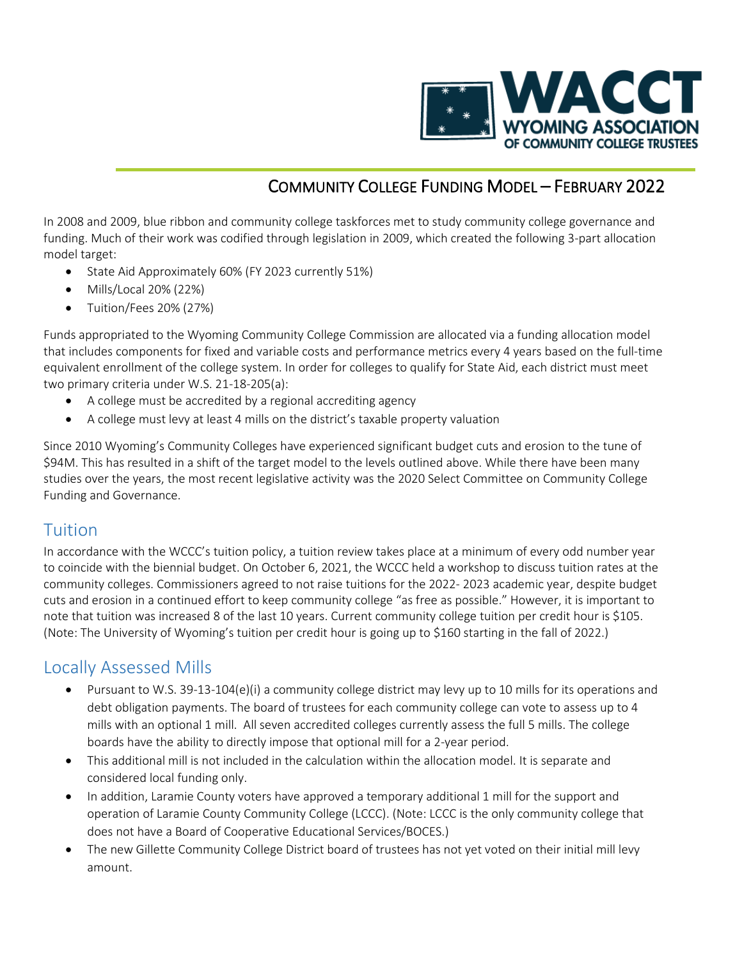

## COMMUNITY COLLEGE FUNDING MODEL – FEBRUARY 2022

In 2008 and 2009, blue ribbon and community college taskforces met to study community college governance and funding. Much of their work was codified through legislation in 2009, which created the following 3-part allocation model target:

- State Aid Approximately 60% (FY 2023 currently 51%)
- Mills/Local 20% (22%)
- Tuition/Fees 20% (27%)

Funds appropriated to the Wyoming Community College Commission are allocated via a funding allocation model that includes components for fixed and variable costs and performance metrics every 4 years based on the full-time equivalent enrollment of the college system. In order for colleges to qualify for State Aid, each district must meet two primary criteria under W.S. 21-18-205(a):

- A college must be accredited by a regional accrediting agency
- A college must levy at least 4 mills on the district's taxable property valuation

Since 2010 Wyoming's Community Colleges have experienced significant budget cuts and erosion to the tune of \$94M. This has resulted in a shift of the target model to the levels outlined above. While there have been many studies over the years, the most recent legislative activity was the 2020 Select Committee on Community College Funding and Governance.

## Tuition

In accordance with the WCCC's tuition policy, a tuition review takes place at a minimum of every odd number year to coincide with the biennial budget. On October 6, 2021, the WCCC held a workshop to discuss tuition rates at the community colleges. Commissioners agreed to not raise tuitions for the 2022- 2023 academic year, despite budget cuts and erosion in a continued effort to keep community college "as free as possible." However, it is important to note that tuition was increased 8 of the last 10 years. Current community college tuition per credit hour is \$105. (Note: The University of Wyoming's tuition per credit hour is going up to \$160 starting in the fall of 2022.)

## Locally Assessed Mills

- Pursuant to W.S. 39-13-104(e)(i) a community college district may levy up to 10 mills for its operations and debt obligation payments. The board of trustees for each community college can vote to assess up to 4 mills with an optional 1 mill. All seven accredited colleges currently assess the full 5 mills. The college boards have the ability to directly impose that optional mill for a 2-year period.
- This additional mill is not included in the calculation within the allocation model. It is separate and considered local funding only.
- In addition, Laramie County voters have approved a temporary additional 1 mill for the support and operation of Laramie County Community College (LCCC). (Note: LCCC is the only community college that does not have a Board of Cooperative Educational Services/BOCES.)
- The new Gillette Community College District board of trustees has not yet voted on their initial mill levy amount.